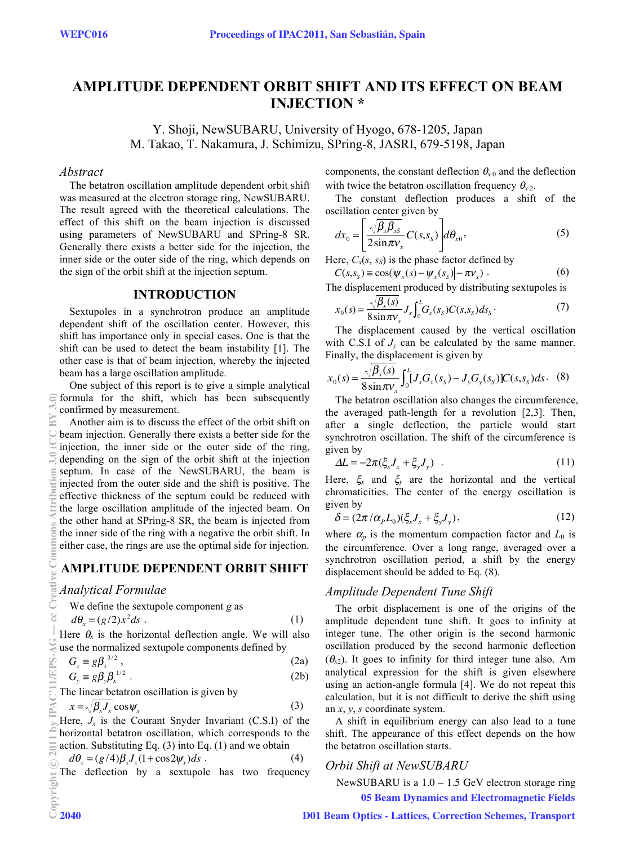# **AMPLITUDE DEPENDENT ORBIT SHIFT AND ITS EFFECT ON BEAM INJECTION \***

Y. Shoji, NewSUBARU, University of Hyogo, 678-1205, Japan M. Takao, T. Nakamura, J. Schimizu, SPring-8, JASRI, 679-5198, Japan

### *Abstract*

The betatron oscillation amplitude dependent orbit shift was measured at the electron storage ring, NewSUBARU. The result agreed with the theoretical calculations. The effect of this shift on the beam injection is discussed using parameters of NewSUBARU and SPring-8 SR. Generally there exists a better side for the injection, the inner side or the outer side of the ring, which depends on the sign of the orbit shift at the injection septum.

# **INTRODUCTION**

Sextupoles in a synchrotron produce an amplitude dependent shift of the oscillation center. However, this shift has importance only in special cases. One is that the shift can be used to detect the beam instability [1]. The other case is that of beam injection, whereby the injected beam has a large oscillation amplitude.

One subject of this report is to give a simple analytical  $\widehat{\,\in}$  formula for the shift, which has been subsequently confirmed by measurement.

Another aim is to discuss the effect of the orbit shift on beam injection. Generally there exists a better side for the injection, the inner side or the outer side of the ring, depending on the sign of the orbit shift at the injection septum. In case of the NewSUBARU, the beam is injected from the outer side and the shift is positive. The effective thickness of the septum could be reduced with the large oscillation amplitude of the injected beam. On the other hand at SPring-8 SR, the beam is injected from the inner side of the ring with a negative the orbit shift. In either case, the rings are use the optimal side for injection.

### **AMPLITUDE DEPENDENT ORBIT SHIFT**

#### *Analytical Formulae*

We define the sextupole component g as  
\n
$$
d\theta_x = (g/2)x^2 ds
$$
 (1)

Here  $\theta_x$  is the horizontal deflection angle. We will also use the normalized sextupole components defined by

$$
G_x \equiv g\beta_x^{3/2},
$$
  
\n
$$
G_y \equiv g\beta_y\beta_x^{1/2}.
$$
\n(2a)  
\n(2b)

The linear betatron oscillation is given by

$$
x = \sqrt{\beta_x} J_x \cos \psi_x \tag{3}
$$

Here,  $J_x$  is the Courant Snyder Invariant (C.S.I) of the horizontal betatron oscillation, which corresponds to the action. Substituting Eq. (3) into Eq. (1) and we obtain

$$
d\theta_x = (g/4)\beta_x J_x (1 + \cos 2\psi_x) ds
$$
 (4)  
The deflection by a sextuple has two frequency

The deflection by a sextupole has two frequency

components, the constant deflection  $\theta_{x0}$  and the deflection with twice the betatron oscillation frequency  $\theta_{x2}$ .

The constant deflection produces a shift of the oscillation center given by

$$
dx_0 = \left[ \frac{\sqrt{\beta_x \beta_{xS}}}{2 \sin \pi v_x} C(s, s_S) \right] d\theta_{x0},
$$
\n(5)

Here,  $C_x(s, s_s)$  is the phase factor defined by

$$
C(s, sS) \equiv \cos(\vert \psi_x(s) - \psi_x(s_S) \vert - \pi \nu_x) \,. \tag{6}
$$

The displacement produced by distributing sextupoles is

$$
x_0(s) = \frac{\sqrt{\beta_x(s)}}{8\sin \pi v_x} J_x \int_0^L G_x(s_s) C(s, s_s) ds_s \tag{7}
$$

The displacement caused by the vertical oscillation with C.S.I of  $J_v$  can be calculated by the same manner. Finally, the displacement is given by

$$
x_0(s) = \frac{\sqrt{\beta_x(s)}}{8 \sin \pi v_x} \int_0^L [J_x G_x(s_s) - J_y G_y(s_s)] C(s, s_s) ds. \quad (8)
$$

The betatron oscillation also changes the circumference, the averaged path-length for a revolution [2,3]. Then, after a single deflection, the particle would start synchrotron oscillation. The shift of the circumference is given by

$$
\Delta L = -2\pi (\xi_x J_x + \xi_y J_y) \quad . \tag{11}
$$

Here,  $\zeta_x$  and  $\zeta_y$  are the horizontal and the vertical chromaticities. The center of the energy oscillation is given by

$$
\delta = (2\pi/\alpha_p L_0)(\xi_x J_x + \xi_y J_y),\tag{12}
$$

where  $\alpha_p$  is the momentum compaction factor and  $L_0$  is the circumference. Over a long range, averaged over a synchrotron oscillation period, a shift by the energy displacement should be added to Eq. (8).

# *Amplitude Dependent Tune Shift*

The orbit displacement is one of the origins of the amplitude dependent tune shift. It goes to infinity at integer tune. The other origin is the second harmonic oscillation produced by the second harmonic deflection  $(\theta_{x2})$ . It goes to infinity for third integer tune also. Am analytical expression for the shift is given elsewhere using an action-angle formula [4]. We do not repeat this calculation, but it is not difficult to derive the shift using an *x*, *y*, *s* coordinate system.

A shift in equilibrium energy can also lead to a tune shift. The appearance of this effect depends on the how the betatron oscillation starts.

### *Orbit Shift at NewSUBARU*

NewSUBARU is a  $1.0 - 1.5$  GeV electron storage ring 05 Beam Dynamics and Electromagnetic Fields

#### D01 Beam Optics - Lattices, Correction Schemes, Transport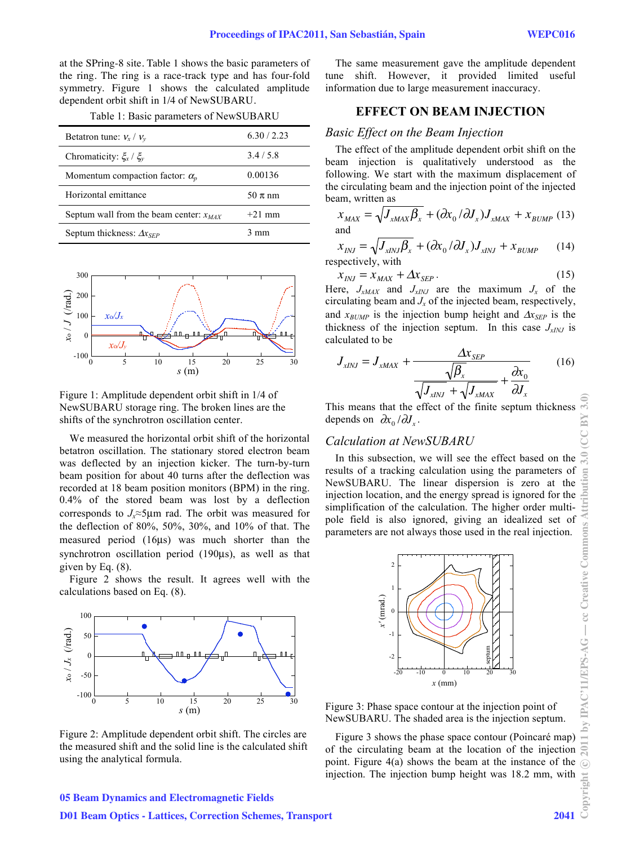at the SPring-8 site. Table 1 shows the basic parameters of the ring. The ring is a race-track type and has four-fold symmetry. Figure 1 shows the calculated amplitude dependent orbit shift in 1/4 of NewSUBARU.

|  |  | Table 1: Basic parameters of NewSUBARU |
|--|--|----------------------------------------|
|--|--|----------------------------------------|

| Betatron tune: $v_x / v_y$                  | 6.30 / 2.23 |
|---------------------------------------------|-------------|
| Chromaticity: $\xi_x / \xi_y$               | 3.4/5.8     |
| Momentum compaction factor: $\alpha_p$      | 0.00136     |
| Horizontal emittance                        | $50 \pi$ nm |
| Septum wall from the beam center: $x_{MAX}$ | $+21$ mm    |
| Septum thickness: $\Delta x_{SFP}$          | 3 mm        |



Figure 1: Amplitude dependent orbit shift in 1/4 of NewSUBARU storage ring. The broken lines are the shifts of the synchrotron oscillation center.

We measured the horizontal orbit shift of the horizontal betatron oscillation. The stationary stored electron beam was deflected by an injection kicker. The turn-by-turn beam position for about 40 turns after the deflection was recorded at 18 beam position monitors (BPM) in the ring. 0.4% of the stored beam was lost by a deflection corresponds to  $J_r \approx 5 \mu m$  rad. The orbit was measured for the deflection of 80%, 50%, 30%, and 10% of that. The measured period (16μs) was much shorter than the synchrotron oscillation period (190μs), as well as that given by Eq. (8).

Figure 2 shows the result. It agrees well with the calculations based on Eq. (8).



Figure 2: Amplitude dependent orbit shift. The circles are the measured shift and the solid line is the calculated shift using the analytical formula.

The same measurement gave the amplitude dependent tune shift. However, it provided limited useful information due to large measurement inaccuracy.

# **EFFECT ON BEAM INJECTION**

# *Basic Effect on the Beam Injection*

The effect of the amplitude dependent orbit shift on the beam injection is qualitatively understood as the following. We start with the maximum displacement of the circulating beam and the injection point of the injected beam, written as

$$
x_{MAX} = \sqrt{J_{xMAX} \beta_x + (\partial x_0 / \partial J_x) J_{xMAX} + x_{BUMP} (13)}
$$
  
and

$$
x_{INJ} = \sqrt{J_{xINJ}\beta_x + (\partial x_0/\partial J_x)J_{xINJ} + x_{BUMP}}
$$
 (14)  
respectively, with

$$
x_{INJ} = x_{MAX} + \Delta x_{SEP} \tag{15}
$$

Here,  $J_{xMAX}$  and  $J_{xINJ}$  are the maximum  $J_x$  of the circulating beam and *Jx* of the injected beam, respectively, and  $x_{BIMP}$  is the injection bump height and  $\Delta x_{SEP}$  is the thickness of the injection septum. In this case  $J_{xINJ}$  is calculated to be

$$
J_{xINJ} = J_{xMAX} + \frac{\Delta x_{SEP}}{\sqrt{\beta_x}} + \frac{\partial x_0}{\partial J_x} \tag{16}
$$

This means that the effect of the finite septum thickness depends on  $\partial x_0 / \partial J_x$ .

# *Calculation at NewSUBARU*

In this subsection, we will see the effect based on the results of a tracking calculation using the parameters of NewSUBARU. The linear dispersion is zero at the injection location, and the energy spread is ignored for the simplification of the calculation. The higher order multipole field is also ignored, giving an idealized set of parameters are not always those used in the real injection.



Figure 3: Phase space contour at the injection point of NewSUBARU. The shaded area is the injection septum.

Figure 3 shows the phase space contour (Poincaré map) of the circulating beam at the location of the injection point. Figure 4(a) shows the beam at the instance of the injection. The injection bump height was 18.2 mm, with

#### 05 Beam Dynamics and Electromagnetic Fields